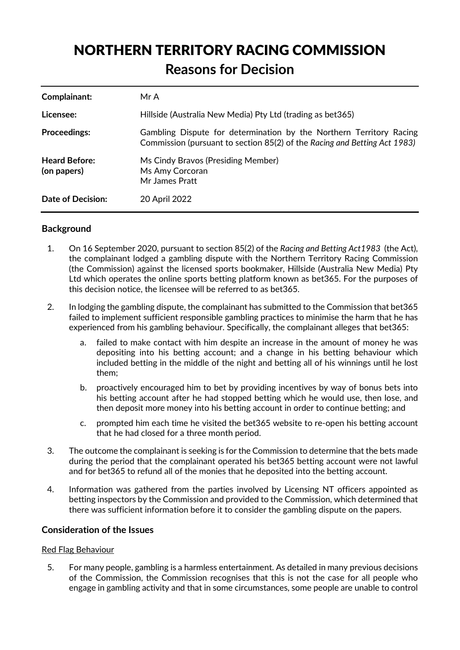# NORTHERN TERRITORY RACING COMMISSION **Reasons for Decision**

| Complainant:                        | Mr A                                                                                                                                             |
|-------------------------------------|--------------------------------------------------------------------------------------------------------------------------------------------------|
| Licensee:                           | Hillside (Australia New Media) Pty Ltd (trading as bet 365)                                                                                      |
| <b>Proceedings:</b>                 | Gambling Dispute for determination by the Northern Territory Racing<br>Commission (pursuant to section 85(2) of the Racing and Betting Act 1983) |
| <b>Heard Before:</b><br>(on papers) | Ms Cindy Bravos (Presiding Member)<br>Ms Amy Corcoran<br>Mr James Pratt                                                                          |
| <b>Date of Decision:</b>            | 20 April 2022                                                                                                                                    |

## **Background**

- 1. On 16 September 2020, pursuant to section 85(2) of the *Racing and Betting Act1983* (the Act), the complainant lodged a gambling dispute with the Northern Territory Racing Commission (the Commission) against the licensed sports bookmaker, Hillside (Australia New Media) Pty Ltd which operates the online sports betting platform known as bet365. For the purposes of this decision notice, the licensee will be referred to as bet365.
- 2. In lodging the gambling dispute, the complainant has submitted to the Commission that bet365 failed to implement sufficient responsible gambling practices to minimise the harm that he has experienced from his gambling behaviour. Specifically, the complainant alleges that bet365:
	- a. failed to make contact with him despite an increase in the amount of money he was depositing into his betting account; and a change in his betting behaviour which included betting in the middle of the night and betting all of his winnings until he lost them;
	- b. proactively encouraged him to bet by providing incentives by way of bonus bets into his betting account after he had stopped betting which he would use, then lose, and then deposit more money into his betting account in order to continue betting; and
	- c. prompted him each time he visited the bet365 website to re-open his betting account that he had closed for a three month period.
- 3. The outcome the complainant is seeking is for the Commission to determine that the bets made during the period that the complainant operated his bet365 betting account were not lawful and for bet365 to refund all of the monies that he deposited into the betting account.
- 4. Information was gathered from the parties involved by Licensing NT officers appointed as betting inspectors by the Commission and provided to the Commission, which determined that there was sufficient information before it to consider the gambling dispute on the papers.

## **Consideration of the Issues**

### Red Flag Behaviour

5. For many people, gambling is a harmless entertainment. As detailed in many previous decisions of the Commission, the Commission recognises that this is not the case for all people who engage in gambling activity and that in some circumstances, some people are unable to control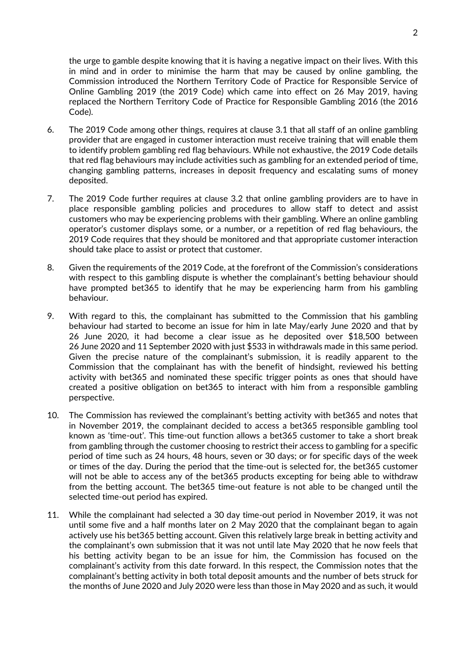the urge to gamble despite knowing that it is having a negative impact on their lives. With this in mind and in order to minimise the harm that may be caused by online gambling, the Commission introduced the Northern Territory Code of Practice for Responsible Service of Online Gambling 2019 (the 2019 Code) which came into effect on 26 May 2019, having replaced the Northern Territory Code of Practice for Responsible Gambling 2016 (the 2016 Code).

- 6. The 2019 Code among other things, requires at clause 3.1 that all staff of an online gambling provider that are engaged in customer interaction must receive training that will enable them to identify problem gambling red flag behaviours. While not exhaustive, the 2019 Code details that red flag behaviours may include activities such as gambling for an extended period of time, changing gambling patterns, increases in deposit frequency and escalating sums of money deposited.
- 7. The 2019 Code further requires at clause 3.2 that online gambling providers are to have in place responsible gambling policies and procedures to allow staff to detect and assist customers who may be experiencing problems with their gambling. Where an online gambling operator's customer displays some, or a number, or a repetition of red flag behaviours, the 2019 Code requires that they should be monitored and that appropriate customer interaction should take place to assist or protect that customer.
- 8. Given the requirements of the 2019 Code, at the forefront of the Commission's considerations with respect to this gambling dispute is whether the complainant's betting behaviour should have prompted bet365 to identify that he may be experiencing harm from his gambling behaviour.
- 9. With regard to this, the complainant has submitted to the Commission that his gambling behaviour had started to become an issue for him in late May/early June 2020 and that by 26 June 2020, it had become a clear issue as he deposited over \$18,500 between 26 June 2020 and 11 September 2020 with just \$533 in withdrawals made in this same period. Given the precise nature of the complainant's submission, it is readily apparent to the Commission that the complainant has with the benefit of hindsight, reviewed his betting activity with bet365 and nominated these specific trigger points as ones that should have created a positive obligation on bet365 to interact with him from a responsible gambling perspective.
- 10. The Commission has reviewed the complainant's betting activity with bet365 and notes that in November 2019, the complainant decided to access a bet365 responsible gambling tool known as 'time-out'. This time-out function allows a bet365 customer to take a short break from gambling through the customer choosing to restrict their access to gambling for a specific period of time such as 24 hours, 48 hours, seven or 30 days; or for specific days of the week or times of the day. During the period that the time-out is selected for, the bet365 customer will not be able to access any of the bet365 products excepting for being able to withdraw from the betting account. The bet365 time-out feature is not able to be changed until the selected time-out period has expired.
- 11. While the complainant had selected a 30 day time-out period in November 2019, it was not until some five and a half months later on 2 May 2020 that the complainant began to again actively use his bet365 betting account. Given this relatively large break in betting activity and the complainant's own submission that it was not until late May 2020 that he now feels that his betting activity began to be an issue for him, the Commission has focused on the complainant's activity from this date forward. In this respect, the Commission notes that the complainant's betting activity in both total deposit amounts and the number of bets struck for the months of June 2020 and July 2020 were less than those in May 2020 and as such, it would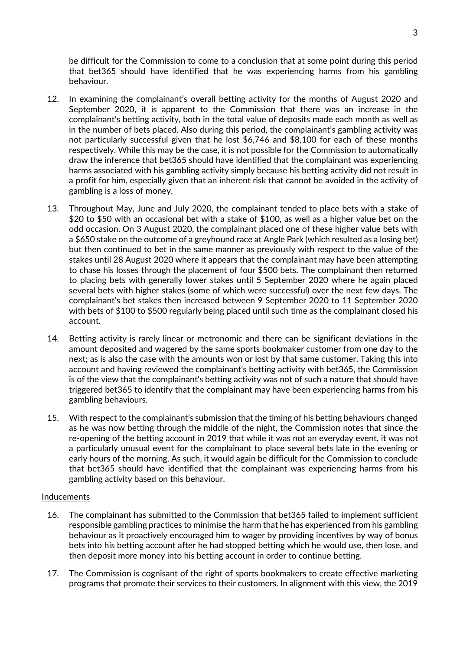be difficult for the Commission to come to a conclusion that at some point during this period that bet365 should have identified that he was experiencing harms from his gambling behaviour.

- 12. In examining the complainant's overall betting activity for the months of August 2020 and September 2020, it is apparent to the Commission that there was an increase in the complainant's betting activity, both in the total value of deposits made each month as well as in the number of bets placed. Also during this period, the complainant's gambling activity was not particularly successful given that he lost \$6,746 and \$8,100 for each of these months respectively. While this may be the case, it is not possible for the Commission to automatically draw the inference that bet365 should have identified that the complainant was experiencing harms associated with his gambling activity simply because his betting activity did not result in a profit for him, especially given that an inherent risk that cannot be avoided in the activity of gambling is a loss of money.
- 13. Throughout May, June and July 2020, the complainant tended to place bets with a stake of \$20 to \$50 with an occasional bet with a stake of \$100, as well as a higher value bet on the odd occasion. On 3 August 2020, the complainant placed one of these higher value bets with a \$650 stake on the outcome of a greyhound race at Angle Park (which resulted as a losing bet) but then continued to bet in the same manner as previously with respect to the value of the stakes until 28 August 2020 where it appears that the complainant may have been attempting to chase his losses through the placement of four \$500 bets. The complainant then returned to placing bets with generally lower stakes until 5 September 2020 where he again placed several bets with higher stakes (some of which were successful) over the next few days. The complainant's bet stakes then increased between 9 September 2020 to 11 September 2020 with bets of \$100 to \$500 regularly being placed until such time as the complainant closed his account.
- 14. Betting activity is rarely linear or metronomic and there can be significant deviations in the amount deposited and wagered by the same sports bookmaker customer from one day to the next; as is also the case with the amounts won or lost by that same customer. Taking this into account and having reviewed the complainant's betting activity with bet365, the Commission is of the view that the complainant's betting activity was not of such a nature that should have triggered bet365 to identify that the complainant may have been experiencing harms from his gambling behaviours.
- 15. With respect to the complainant's submission that the timing of his betting behaviours changed as he was now betting through the middle of the night, the Commission notes that since the re-opening of the betting account in 2019 that while it was not an everyday event, it was not a particularly unusual event for the complainant to place several bets late in the evening or early hours of the morning. As such, it would again be difficult for the Commission to conclude that bet365 should have identified that the complainant was experiencing harms from his gambling activity based on this behaviour.

#### Inducements

- 16. The complainant has submitted to the Commission that bet365 failed to implement sufficient responsible gambling practices to minimise the harm that he has experienced from his gambling behaviour as it proactively encouraged him to wager by providing incentives by way of bonus bets into his betting account after he had stopped betting which he would use, then lose, and then deposit more money into his betting account in order to continue betting.
- 17. The Commission is cognisant of the right of sports bookmakers to create effective marketing programs that promote their services to their customers. In alignment with this view, the 2019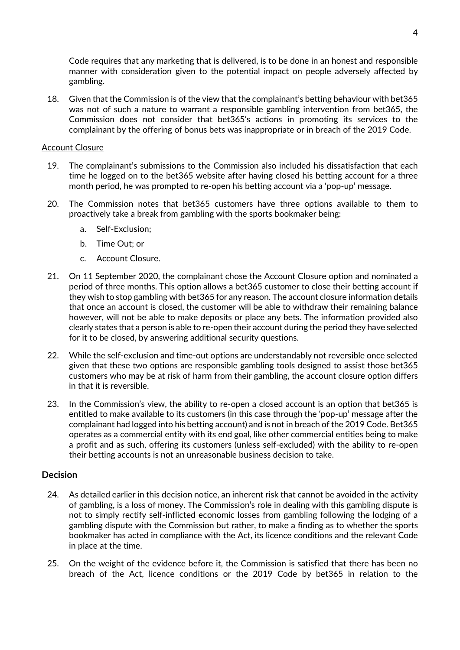Code requires that any marketing that is delivered, is to be done in an honest and responsible manner with consideration given to the potential impact on people adversely affected by gambling.

18. Given that the Commission is of the view that the complainant's betting behaviour with bet365 was not of such a nature to warrant a responsible gambling intervention from bet365, the Commission does not consider that bet365's actions in promoting its services to the complainant by the offering of bonus bets was inappropriate or in breach of the 2019 Code.

#### Account Closure

- 19. The complainant's submissions to the Commission also included his dissatisfaction that each time he logged on to the bet365 website after having closed his betting account for a three month period, he was prompted to re-open his betting account via a 'pop-up' message.
- 20. The Commission notes that bet365 customers have three options available to them to proactively take a break from gambling with the sports bookmaker being:
	- a. Self-Exclusion;
	- b. Time Out; or
	- c. Account Closure.
- 21. On 11 September 2020, the complainant chose the Account Closure option and nominated a period of three months. This option allows a bet365 customer to close their betting account if they wish to stop gambling with bet365 for any reason. The account closure information details that once an account is closed, the customer will be able to withdraw their remaining balance however, will not be able to make deposits or place any bets. The information provided also clearly states that a person is able to re-open their account during the period they have selected for it to be closed, by answering additional security questions.
- 22. While the self-exclusion and time-out options are understandably not reversible once selected given that these two options are responsible gambling tools designed to assist those bet365 customers who may be at risk of harm from their gambling, the account closure option differs in that it is reversible.
- 23. In the Commission's view, the ability to re-open a closed account is an option that bet365 is entitled to make available to its customers (in this case through the 'pop-up' message after the complainant had logged into his betting account) and is not in breach of the 2019 Code. Bet365 operates as a commercial entity with its end goal, like other commercial entities being to make a profit and as such, offering its customers (unless self-excluded) with the ability to re-open their betting accounts is not an unreasonable business decision to take.

#### **Decision**

- 24. As detailed earlier in this decision notice, an inherent risk that cannot be avoided in the activity of gambling, is a loss of money. The Commission's role in dealing with this gambling dispute is not to simply rectify self-inflicted economic losses from gambling following the lodging of a gambling dispute with the Commission but rather, to make a finding as to whether the sports bookmaker has acted in compliance with the Act, its licence conditions and the relevant Code in place at the time.
- 25. On the weight of the evidence before it, the Commission is satisfied that there has been no breach of the Act, licence conditions or the 2019 Code by bet365 in relation to the